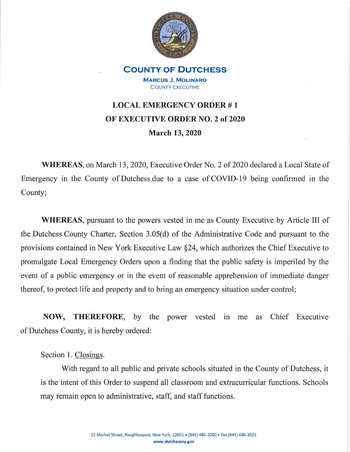

**COUNTY OF DUTCHESS MARCUS J. MOLINARO**  COUNTY ExECUTIVE

## LOCAL EMERGENCY ORDER #1 **OF EXECUTIVE ORDER NO. 2 of 2020 March 13, 2020**

**WHEREAS, on March 13, 2020, Executive Order No. 2 of 2020 declared a Local State of** Emergency in the County of Dutchess due to a case of COVID-19 being confirmed in the County;

**WHEREAS,** pursuant to the powers vested in me as County Executive by Article III of the Dutchess County Charter, Section 3.05(d) of the Administrative Code and pursuant to the provisions contained in New York Executive Law §24, which authorizes the Chief Executive to promulgate Local Emergency Orders upon a finding that the public safety is imperiled by the event of a public emergency or in the event of reasonable apprehension of immediate danger thereof, to protect life and property and to bring an emergency situation under control;

**NOW, THEREFORE,** by the power vested in me as Chief Executive of Dutchess County, it is hereby ordered:

Section 1. Closings.

With regard to all public and private schools situated in the County of Dutchess, it is the intent of this Order to suspend all classroom and extracurricular functions. Schools may remain open to administrative, staff, and staff functions.